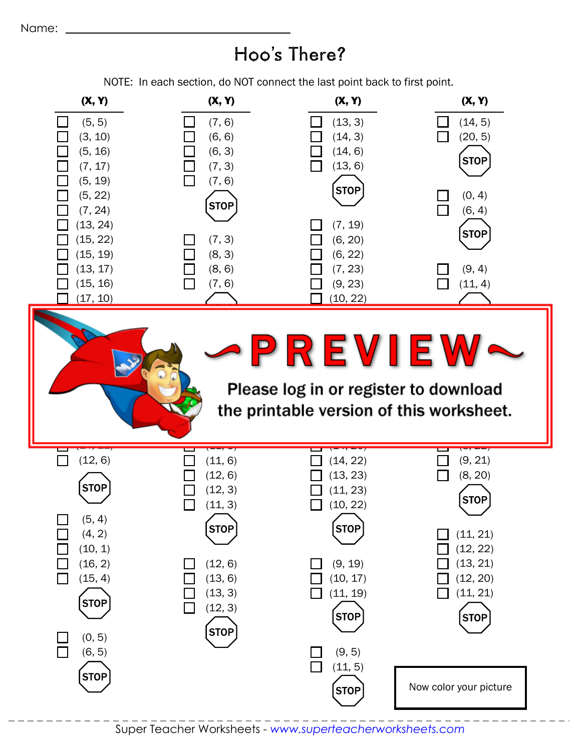## Hoo's There?

NOTE: In each section, do NOT connect the last point back to first point.

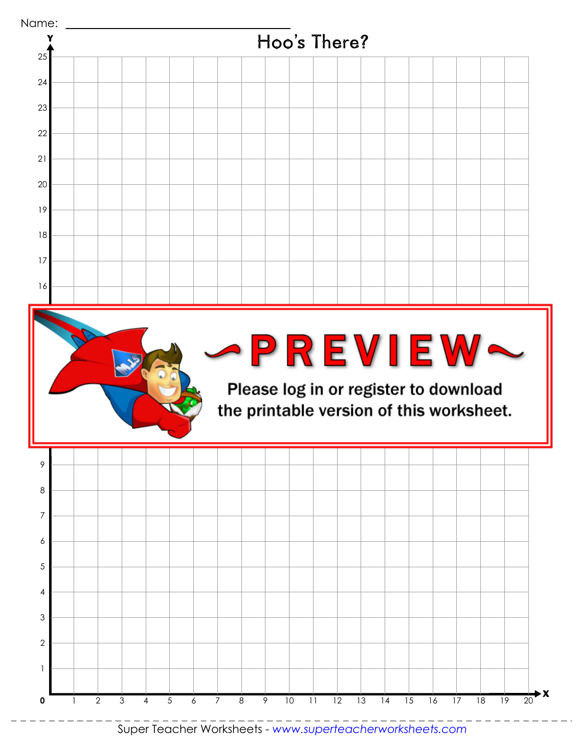

Super Teacher Worksheets - *www.superteacherworksheets.com*